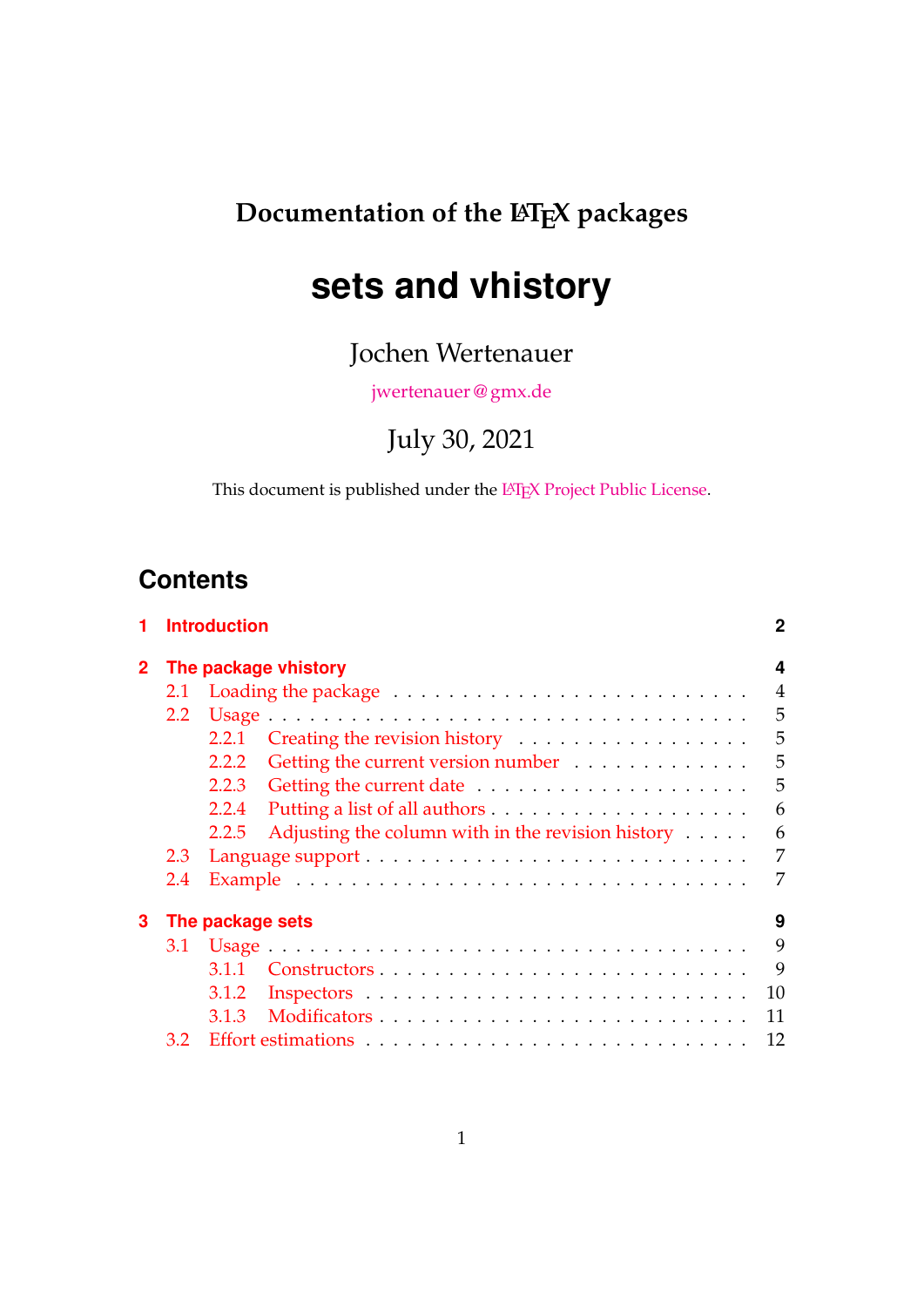## **Documentation of the LATEX packages**

# **sets and vhistory**

Jochen Wertenauer

[jwertenauer @ gmx.de](mailto:jwertenauer@gmx.de)

July 30, 2021

This document is published under the LA[TEX Project Public License.](http://www.latex-project.org/lppl.txt)

## **Contents**

| 1 |                      | <b>Introduction</b>                                                  |                |  |  |  |  |
|---|----------------------|----------------------------------------------------------------------|----------------|--|--|--|--|
|   | The package vhistory |                                                                      |                |  |  |  |  |
|   | 2.1                  |                                                                      | $\overline{4}$ |  |  |  |  |
|   | 2.2                  |                                                                      | 5              |  |  |  |  |
|   |                      | 2.2.1                                                                | 5              |  |  |  |  |
|   |                      | Getting the current version number<br>2.2.2                          | 5              |  |  |  |  |
|   |                      | 2.2.3                                                                | 5              |  |  |  |  |
|   |                      | 2.2.4                                                                | 6              |  |  |  |  |
|   |                      | Adjusting the column with in the revision history $\dots$ .<br>2.2.5 | 6              |  |  |  |  |
|   | 2.3                  |                                                                      | 7              |  |  |  |  |
|   | 2.4                  |                                                                      | 7              |  |  |  |  |
| 3 |                      | The package sets                                                     | 9              |  |  |  |  |
|   | 3.1                  |                                                                      | 9              |  |  |  |  |
|   |                      | 3.1.1                                                                | 9              |  |  |  |  |
|   |                      | 3.1.2                                                                | 10             |  |  |  |  |
|   |                      | 3.1.3                                                                | 11             |  |  |  |  |
|   | 3.2                  |                                                                      | 12             |  |  |  |  |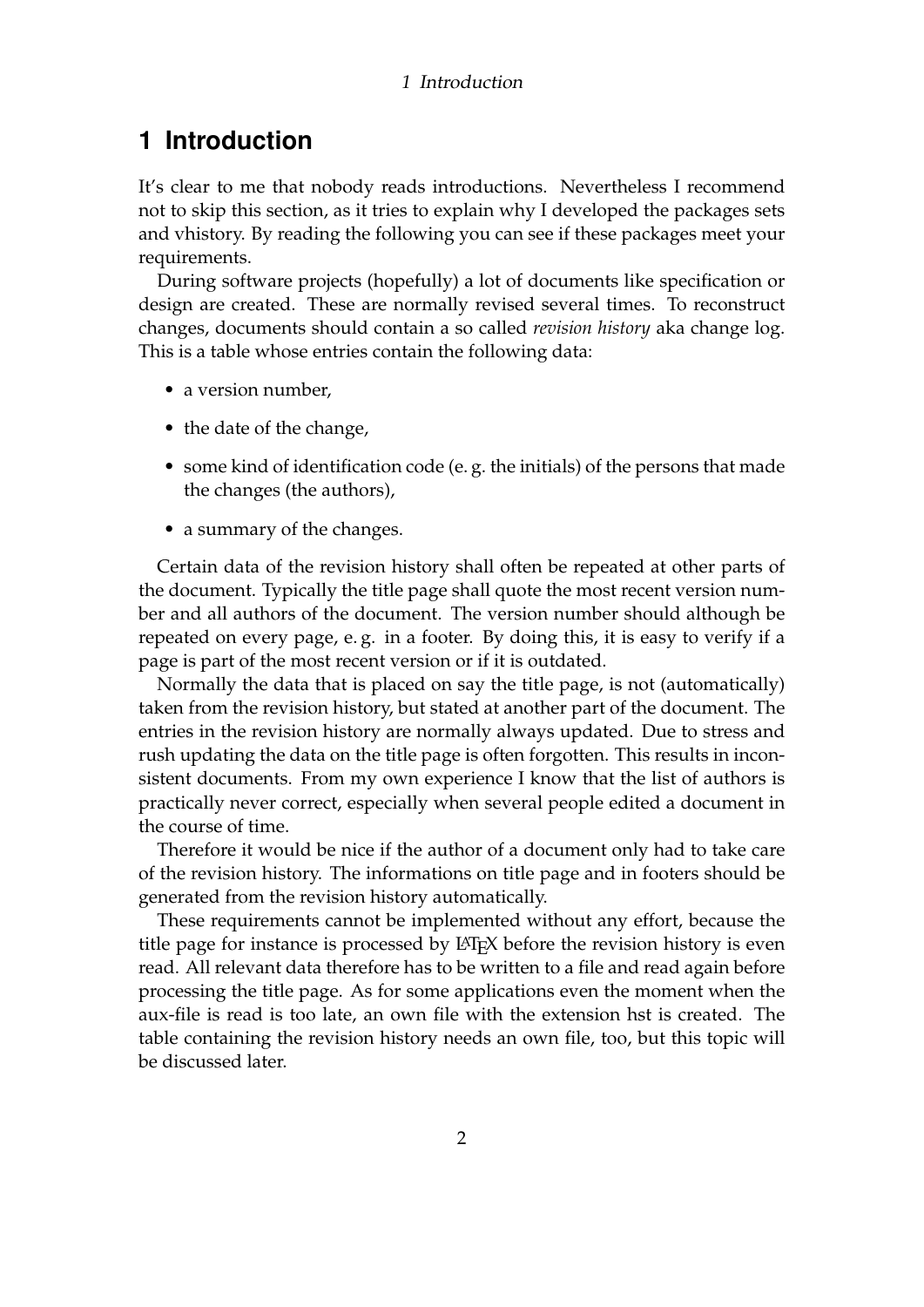#### 1 Introduction

## <span id="page-1-0"></span>**1 Introduction**

It's clear to me that nobody reads introductions. Nevertheless I recommend not to skip this section, as it tries to explain why I developed the packages sets and vhistory. By reading the following you can see if these packages meet your requirements.

During software projects (hopefully) a lot of documents like specification or design are created. These are normally revised several times. To reconstruct changes, documents should contain a so called *revision history* aka change log. This is a table whose entries contain the following data:

- a version number,
- the date of the change,
- some kind of identification code (e. g. the initials) of the persons that made the changes (the authors),
- a summary of the changes.

Certain data of the revision history shall often be repeated at other parts of the document. Typically the title page shall quote the most recent version number and all authors of the document. The version number should although be repeated on every page, e. g. in a footer. By doing this, it is easy to verify if a page is part of the most recent version or if it is outdated.

Normally the data that is placed on say the title page, is not (automatically) taken from the revision history, but stated at another part of the document. The entries in the revision history are normally always updated. Due to stress and rush updating the data on the title page is often forgotten. This results in inconsistent documents. From my own experience I know that the list of authors is practically never correct, especially when several people edited a document in the course of time.

Therefore it would be nice if the author of a document only had to take care of the revision history. The informations on title page and in footers should be generated from the revision history automatically.

These requirements cannot be implemented without any effort, because the title page for instance is processed by LAT<sub>E</sub>X before the revision history is even read. All relevant data therefore has to be written to a file and read again before processing the title page. As for some applications even the moment when the aux-file is read is too late, an own file with the extension hst is created. The table containing the revision history needs an own file, too, but this topic will be discussed later.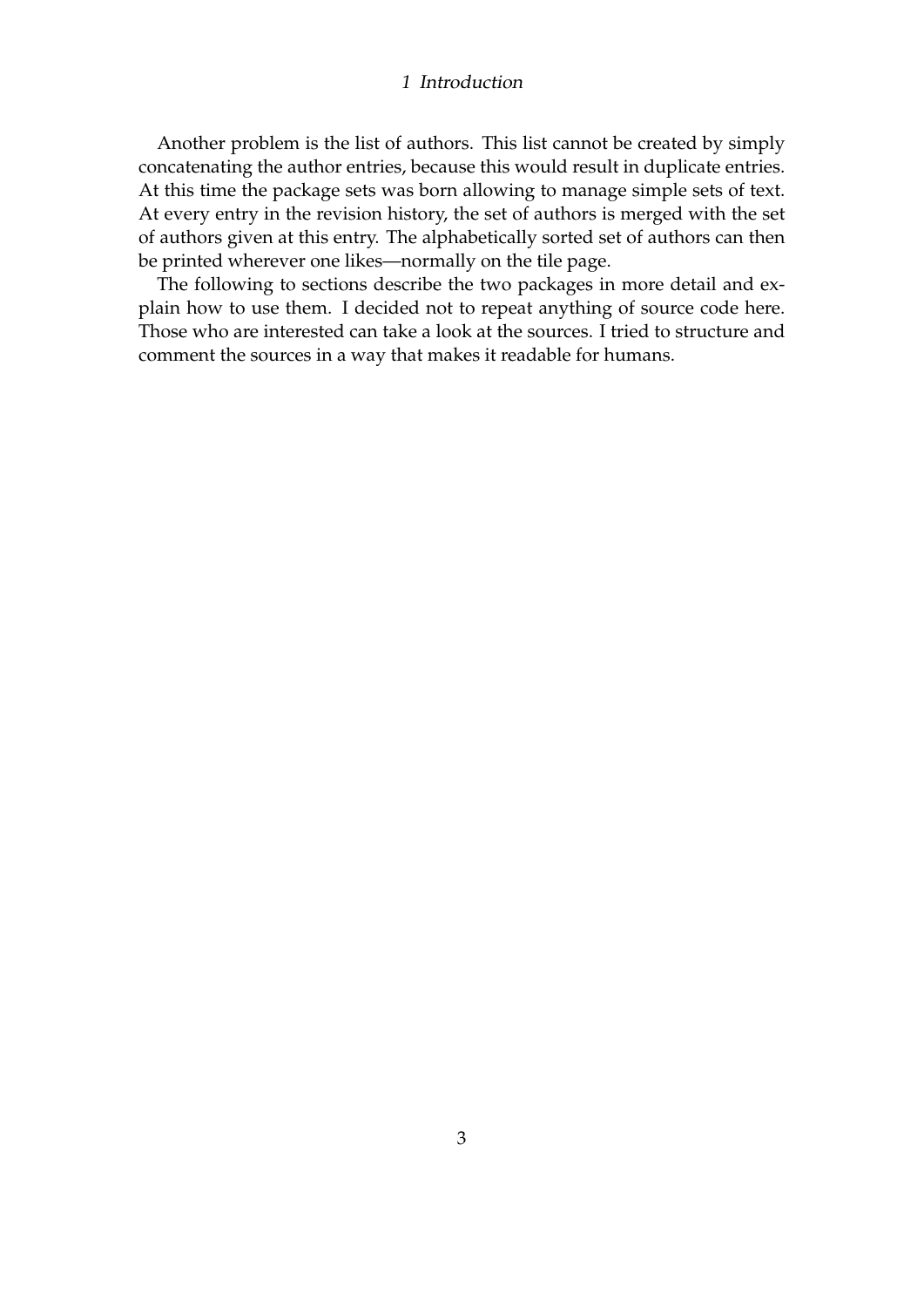#### 1 Introduction

Another problem is the list of authors. This list cannot be created by simply concatenating the author entries, because this would result in duplicate entries. At this time the package sets was born allowing to manage simple sets of text. At every entry in the revision history, the set of authors is merged with the set of authors given at this entry. The alphabetically sorted set of authors can then be printed wherever one likes—normally on the tile page.

The following to sections describe the two packages in more detail and explain how to use them. I decided not to repeat anything of source code here. Those who are interested can take a look at the sources. I tried to structure and comment the sources in a way that makes it readable for humans.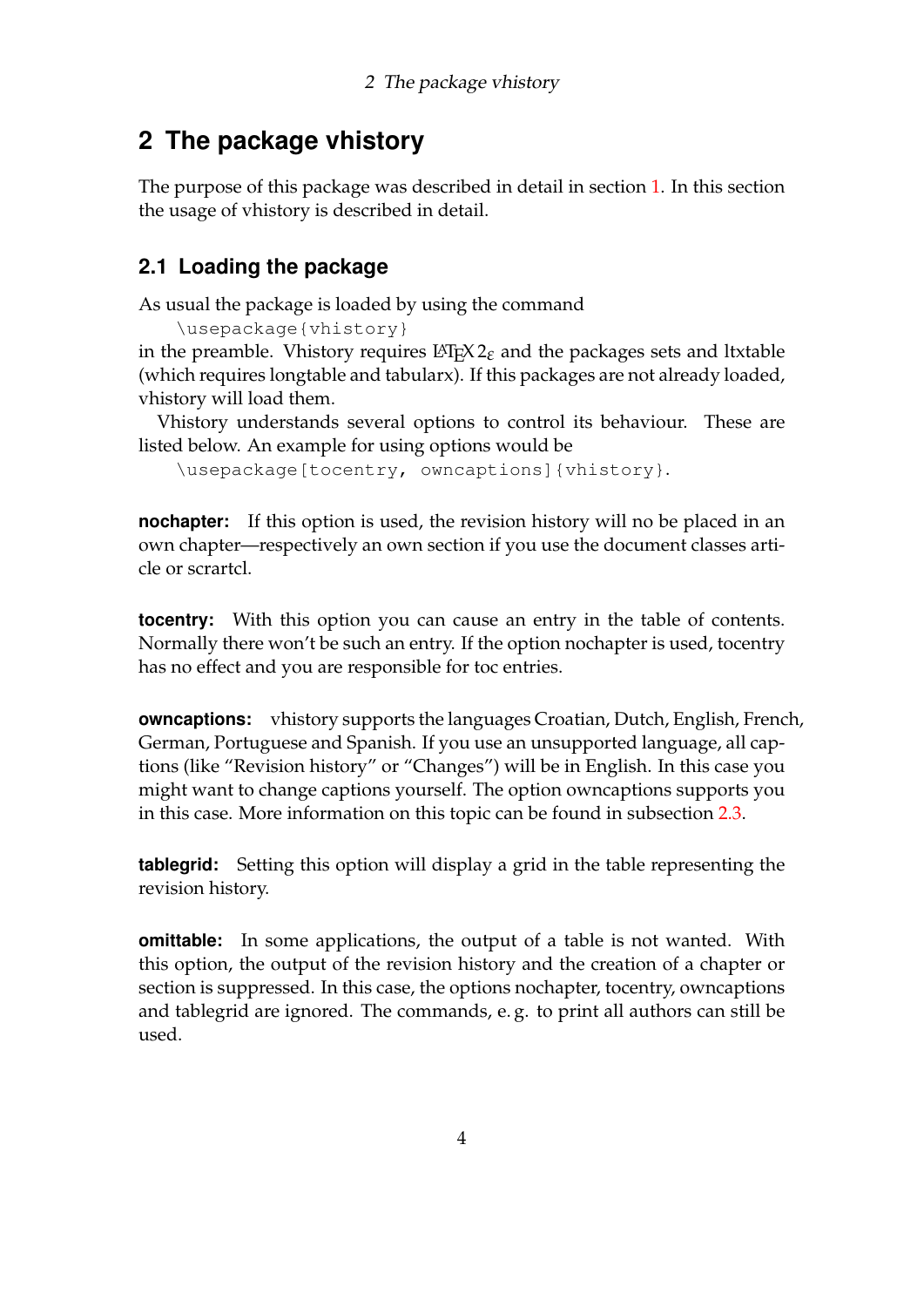## <span id="page-3-0"></span>**2 The package vhistory**

The purpose of this package was described in detail in section [1.](#page-1-0) In this section the usage of vhistory is described in detail.

## <span id="page-3-1"></span>**2.1 Loading the package**

As usual the package is loaded by using the command

\usepackage{vhistory}

in the preamble. Vhistory requires  $\Delta E$ <sub>E</sub>X 2 $_{\mathcal{E}}$  and the packages sets and ltxtable (which requires longtable and tabularx). If this packages are not already loaded, vhistory will load them.

Vhistory understands several options to control its behaviour. These are listed below. An example for using options would be

\usepackage[tocentry, owncaptions]{vhistory}.

**nochapter:** If this option is used, the revision history will no be placed in an own chapter—respectively an own section if you use the document classes article or scrartcl.

**tocentry:** With this option you can cause an entry in the table of contents. Normally there won't be such an entry. If the option nochapter is used, tocentry has no effect and you are responsible for toc entries.

**owncaptions:** vhistory supports the languages Croatian, Dutch, English, French, German, Portuguese and Spanish. If you use an unsupported language, all captions (like "Revision history" or "Changes") will be in English. In this case you might want to change captions yourself. The option owncaptions supports you in this case. More information on this topic can be found in subsection [2.3.](#page-6-0)

**tablegrid:** Setting this option will display a grid in the table representing the revision history.

**omittable:** In some applications, the output of a table is not wanted. With this option, the output of the revision history and the creation of a chapter or section is suppressed. In this case, the options nochapter, tocentry, owncaptions and tablegrid are ignored. The commands, e. g. to print all authors can still be used.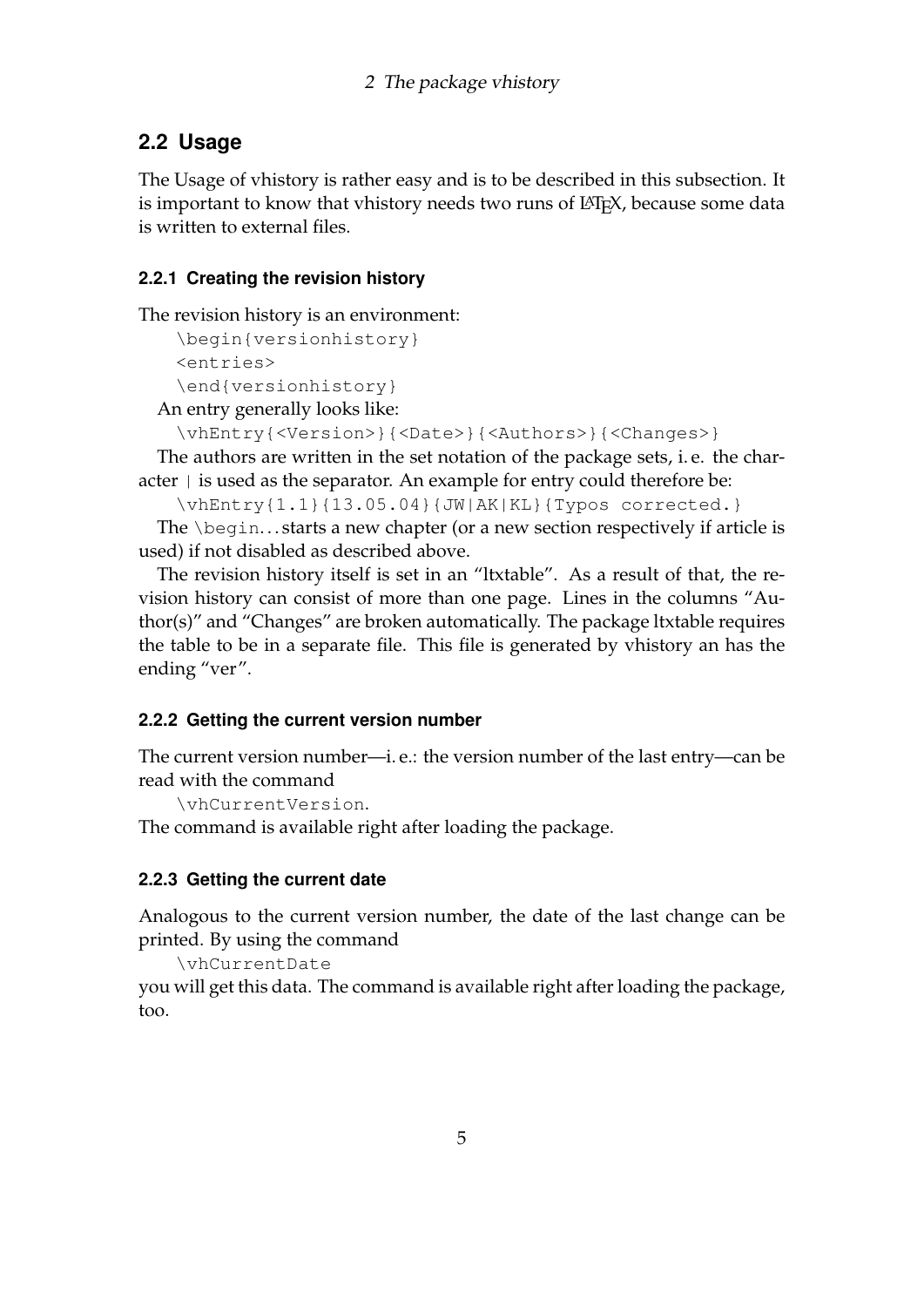## <span id="page-4-0"></span>**2.2 Usage**

The Usage of vhistory is rather easy and is to be described in this subsection. It is important to know that vhistory needs two runs of LAT<sub>E</sub>X, because some data is written to external files.

### <span id="page-4-1"></span>**2.2.1 Creating the revision history**

The revision history is an environment:

```
\begin{versionhistory}
<entries>
```

```
\end{versionhistory}
```
An entry generally looks like:

```
\vhEntry{<Version>}{<Date>}{<Authors>}{<Changes>}
```
The authors are written in the set notation of the package sets, i. e. the char- $\alpha$  acter  $\alpha$  is used as the separator. An example for entry could therefore be:

```
\vhEntry{1.1}{13.05.04}{JW|AK|KL}{Typos corrected.}
```
The \begin. . . starts a new chapter (or a new section respectively if article is used) if not disabled as described above.

The revision history itself is set in an "ltxtable". As a result of that, the revision history can consist of more than one page. Lines in the columns "Author(s)" and "Changes" are broken automatically. The package ltxtable requires the table to be in a separate file. This file is generated by vhistory an has the ending "ver".

## <span id="page-4-2"></span>**2.2.2 Getting the current version number**

The current version number—i. e.: the version number of the last entry—can be read with the command

```
\vhCurrentVersion.
```
The command is available right after loading the package.

### <span id="page-4-3"></span>**2.2.3 Getting the current date**

Analogous to the current version number, the date of the last change can be printed. By using the command

```
\vhCurrentDate
```
you will get this data. The command is available right after loading the package, too.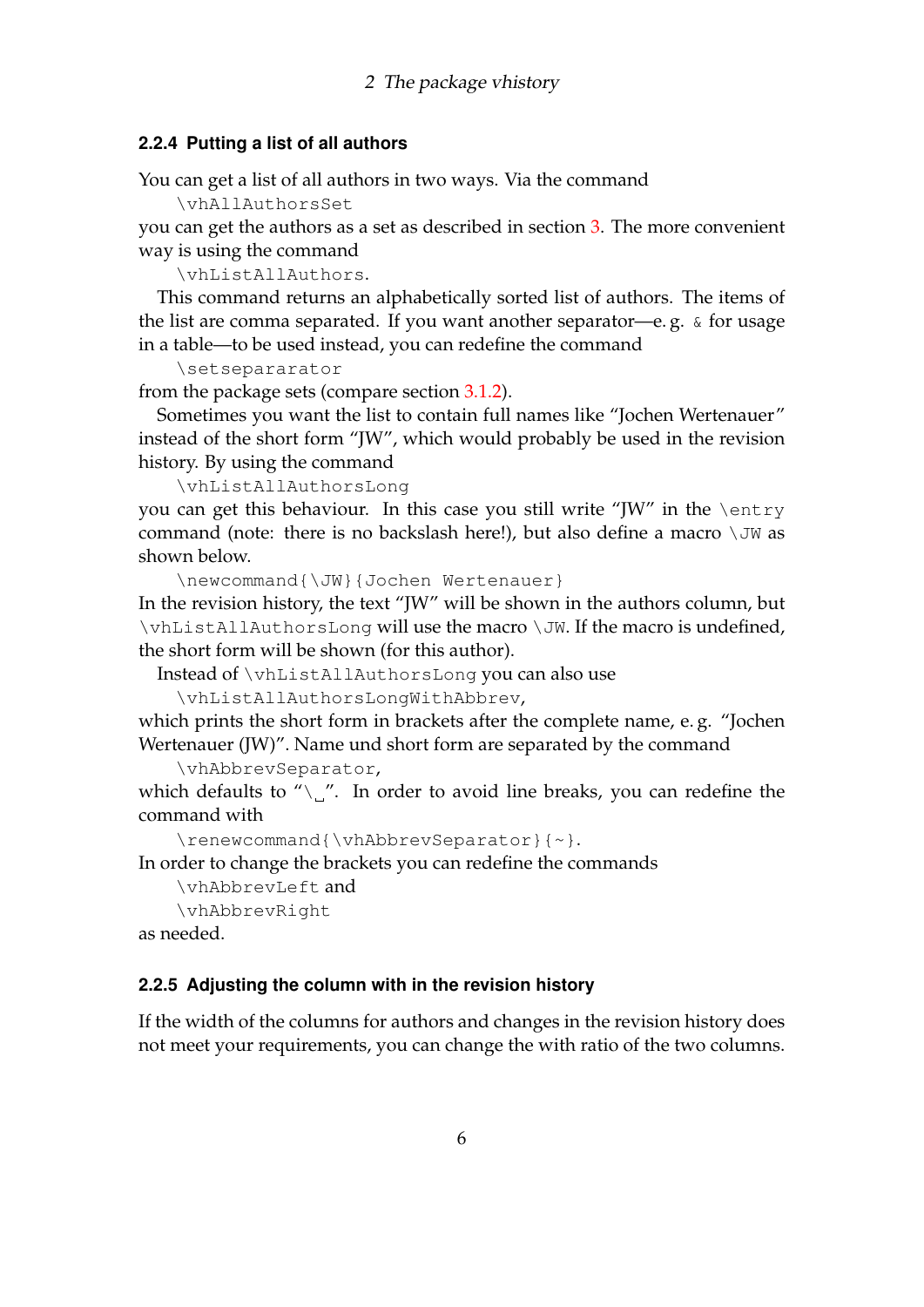#### <span id="page-5-0"></span>**2.2.4 Putting a list of all authors**

You can get a list of all authors in two ways. Via the command

\vhAllAuthorsSet

you can get the authors as a set as described in section [3.](#page-8-0) The more convenient way is using the command

\vhListAllAuthors.

This command returns an alphabetically sorted list of authors. The items of the list are comma separated. If you want another separator—e. g. & for usage in a table—to be used instead, you can redefine the command

\setsepararator

from the package sets (compare section [3.1.2\)](#page-9-0).

Sometimes you want the list to contain full names like "Jochen Wertenauer" instead of the short form "JW", which would probably be used in the revision history. By using the command

\vhListAllAuthorsLong

you can get this behaviour. In this case you still write "JW" in the \entry command (note: there is no backslash here!), but also define a macro  $\setminus$  JW as shown below.

\newcommand{\JW}{Jochen Wertenauer}

In the revision history, the text "JW" will be shown in the authors column, but \vhListAllAuthorsLong will use the macro \JW. If the macro is undefined, the short form will be shown (for this author).

Instead of \vhListAllAuthorsLong you can also use

```
\vhListAllAuthorsLongWithAbbrev,
```
which prints the short form in brackets after the complete name, e. g. "Jochen Wertenauer (JW)". Name und short form are separated by the command

```
\vhAbbrevSeparator,
```
which defaults to " $\chi$ ". In order to avoid line breaks, you can redefine the command with

\renewcommand{\vhAbbrevSeparator}{~}.

In order to change the brackets you can redefine the commands

```
\vhAbbrevLeft and
\vhAbbrevRight
```
as needed.

#### <span id="page-5-1"></span>**2.2.5 Adjusting the column with in the revision history**

If the width of the columns for authors and changes in the revision history does not meet your requirements, you can change the with ratio of the two columns.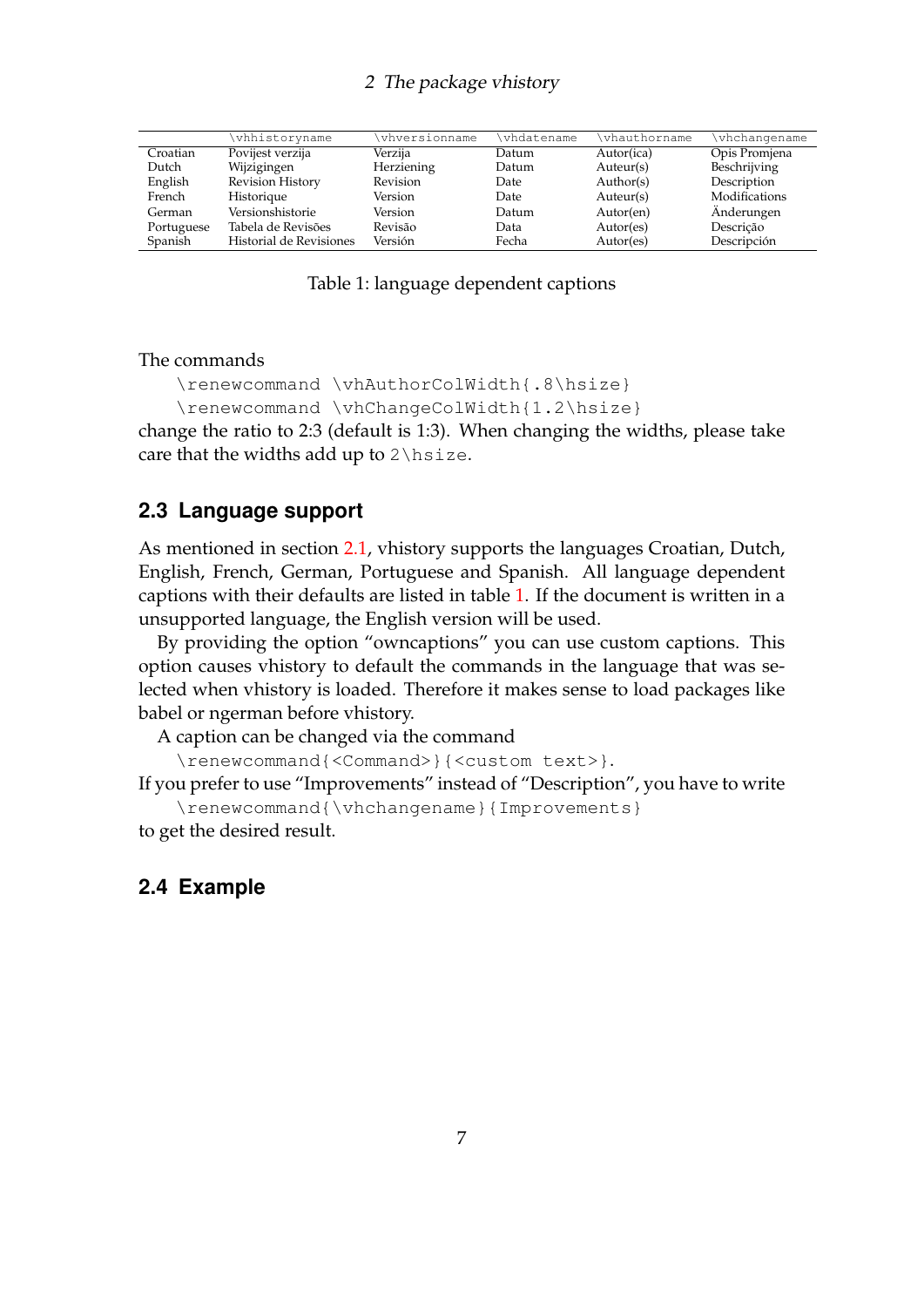#### 2 The package vhistory

|            | vhhistoryname           | vhversionname | vhdatename | \vhauthorname | vhchangename  |
|------------|-------------------------|---------------|------------|---------------|---------------|
| Croatian   | Povijest verzija        | Verzija       | Datum      | Autor(ica)    | Opis Promjena |
| Dutch      | Wijzigingen             | Herziening    | Datum      | Auteur(s)     | Beschrijving  |
| English    | <b>Revision History</b> | Revision      | Date       | Author(s)     | Description   |
| French     | Historique              | Version       | Date       | Auteur(s)     | Modifications |
| German     | Versionshistorie        | Version       | Datum      | Autor(en)     | Änderungen    |
| Portuguese | Tabela de Revisões      | Revisão       | Data       | Autor(es)     | Descrição     |
| Spanish    | Historial de Revisiones | Versión       | Fecha      | Autor(es)     | Descripción   |

<span id="page-6-2"></span>Table 1: language dependent captions

The commands

```
\renewcommand \vhAuthorColWidth{.8\hsize}
```

```
\renewcommand \vhChangeColWidth{1.2\hsize}
change the ratio to 2:3 (default is 1:3). When changing the widths, please take
care that the widths add up to 2 \hspace{0.5pt}\text{else}.
```
#### <span id="page-6-0"></span>**2.3 Language support**

As mentioned in section [2.1,](#page-3-1) vhistory supports the languages Croatian, Dutch, English, French, German, Portuguese and Spanish. All language dependent captions with their defaults are listed in table [1.](#page-6-2) If the document is written in a unsupported language, the English version will be used.

By providing the option "owncaptions" you can use custom captions. This option causes vhistory to default the commands in the language that was selected when vhistory is loaded. Therefore it makes sense to load packages like babel or ngerman before vhistory.

A caption can be changed via the command

\renewcommand{<Command>}{<custom text>}.

If you prefer to use "Improvements" instead of "Description", you have to write \renewcommand{\vhchangename}{Improvements}

to get the desired result.

#### <span id="page-6-1"></span>**2.4 Example**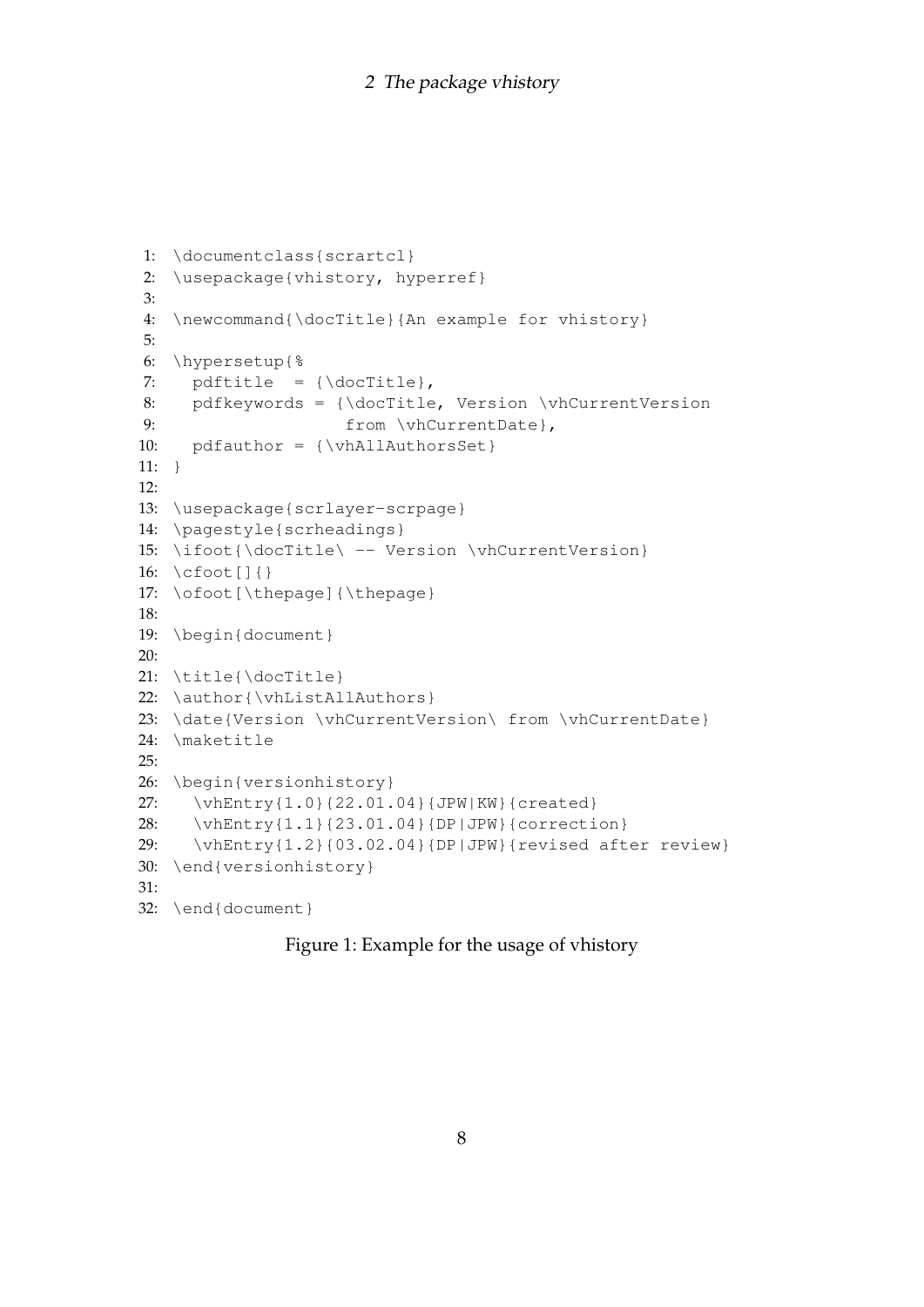```
1: \documentclass{scrartcl}
2: \usepackage{vhistory, hyperref}
3:
4: \newcommand{\docTitle}{An example for vhistory}
5:
6: \hypersetup{%
7: pdftitle = {\ddot{\ddot{\theta}}},8: pdfkeywords = {\docTitle, Version \vhCurrentVersion
9: from \vhCurrentDate},
10: pdfauthor = {\vhAllAuthorsSet}
11: \quad \}12:13: \usepackage{scrlayer-scrpage}
14: \pagestyle{scrheadings}
15: \ifoot{\docTitle\ -- Version \vhCurrentVersion}
16: \cfoot[]{}
17: \ofoot[\thepage]{\thepage}
18:
19: \begin{document}
20:
21: \title{\docTitle}
22: \author{\vhListAllAuthors}
23: \date{Version \vhCurrentVersion\ from \vhCurrentDate}
24: \maketitle
25:
26: \begin{versionhistory}
27: \vhEntry{1.0}{22.01.04}{JPW|KW}{created}
28: \vhEntry{1.1}{23.01.04}{DP|JPW}{correction}
29: \vhEntry{1.2}{03.02.04}{DP|JPW}{revised after review}
30: \end{versionhistory}
31:
32: \end{document}
```
#### Figure 1: Example for the usage of vhistory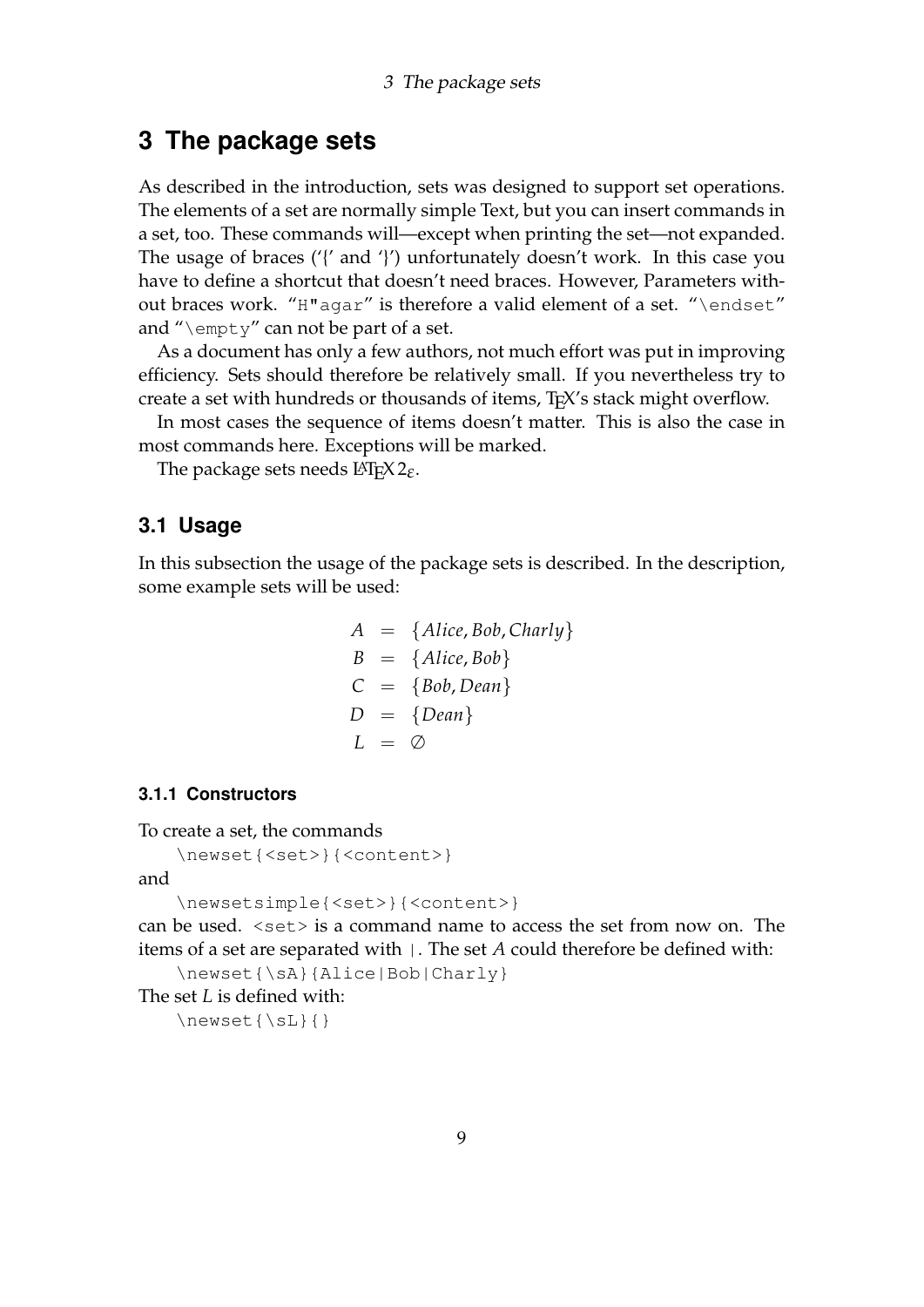## <span id="page-8-0"></span>**3 The package sets**

As described in the introduction, sets was designed to support set operations. The elements of a set are normally simple Text, but you can insert commands in a set, too. These commands will—except when printing the set—not expanded. The usage of braces ('{' and '}') unfortunately doesn't work. In this case you have to define a shortcut that doesn't need braces. However, Parameters without braces work. "H"agar" is therefore a valid element of a set. "\endset" and " $\emptyset$ " can not be part of a set.

As a document has only a few authors, not much effort was put in improving efficiency. Sets should therefore be relatively small. If you nevertheless try to create a set with hundreds or thousands of items, TEX's stack might overflow.

In most cases the sequence of items doesn't matter. This is also the case in most commands here. Exceptions will be marked.

The package sets needs LATEX 2*ε*.

#### <span id="page-8-1"></span>**3.1 Usage**

In this subsection the usage of the package sets is described. In the description, some example sets will be used:

$$
A = {Alice, Bob, Charly}
$$
  
\n
$$
B = {Alice, Bob}
$$
  
\n
$$
C = {Bob, Dean}
$$
  
\n
$$
D = {Dean}
$$
  
\n
$$
L = \emptyset
$$

#### <span id="page-8-2"></span>**3.1.1 Constructors**

To create a set, the commands

```
\newset{<set>}{<content>}
```
and

```
\newsetsimple{<set>}{<content>}
```
can be used.  $\langle \text{set} \rangle$  is a command name to access the set from now on. The items of a set are separated with |. The set *A* could therefore be defined with: \newset{\sA}{Alice|Bob|Charly}

The set *L* is defined with:

 $\text{{\tt Newset}}{\S_L}{}$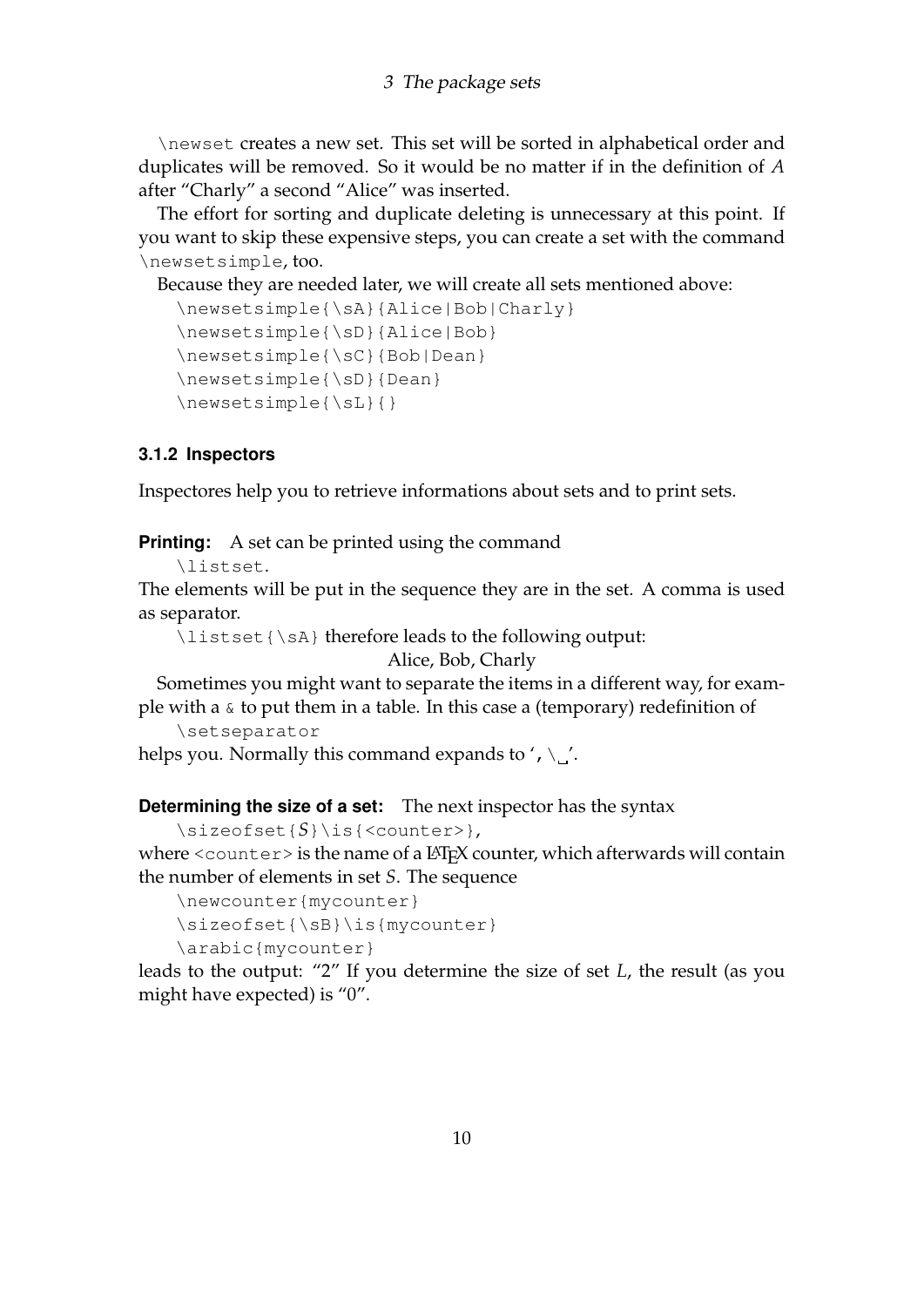\newset creates a new set. This set will be sorted in alphabetical order and duplicates will be removed. So it would be no matter if in the definition of *A* after "Charly" a second "Alice" was inserted.

The effort for sorting and duplicate deleting is unnecessary at this point. If you want to skip these expensive steps, you can create a set with the command \newsetsimple, too.

Because they are needed later, we will create all sets mentioned above:

```
\newsetsimple{\sA}{Alice|Bob|Charly}
\newsetsimple{\sD}{Alice|Bob}
\newsetsimple{\sC}{Bob|Dean}
\newsetsimple{\sD}{Dean}
\n\text{newsetsimple}{} {\sL}{} {\}
```
#### <span id="page-9-0"></span>**3.1.2 Inspectors**

Inspectores help you to retrieve informations about sets and to print sets.

**Printing:** A set can be printed using the command

\listset.

The elements will be put in the sequence they are in the set. A comma is used as separator.

\listset{\sA} therefore leads to the following output:

Alice, Bob, Charly

Sometimes you might want to separate the items in a different way, for example with a  $\&$  to put them in a table. In this case a (temporary) redefinition of

\setseparator

helps you. Normally this command expands to ',  $\mathcal{N}$ '.

**Determining the size of a set:** The next inspector has the syntax

```
\sizeofset{S}\is{<counter>},
where <counter> is the name of a LATEX counter, which afterwards will contain
the number of elements in set S. The sequence
```

```
\newcounter{mycounter}
```

```
\sizeofset{\sB}\is{mycounter}
```

```
\arabic{mycounter}
```
leads to the output: "2" If you determine the size of set *L*, the result (as you might have expected) is "0".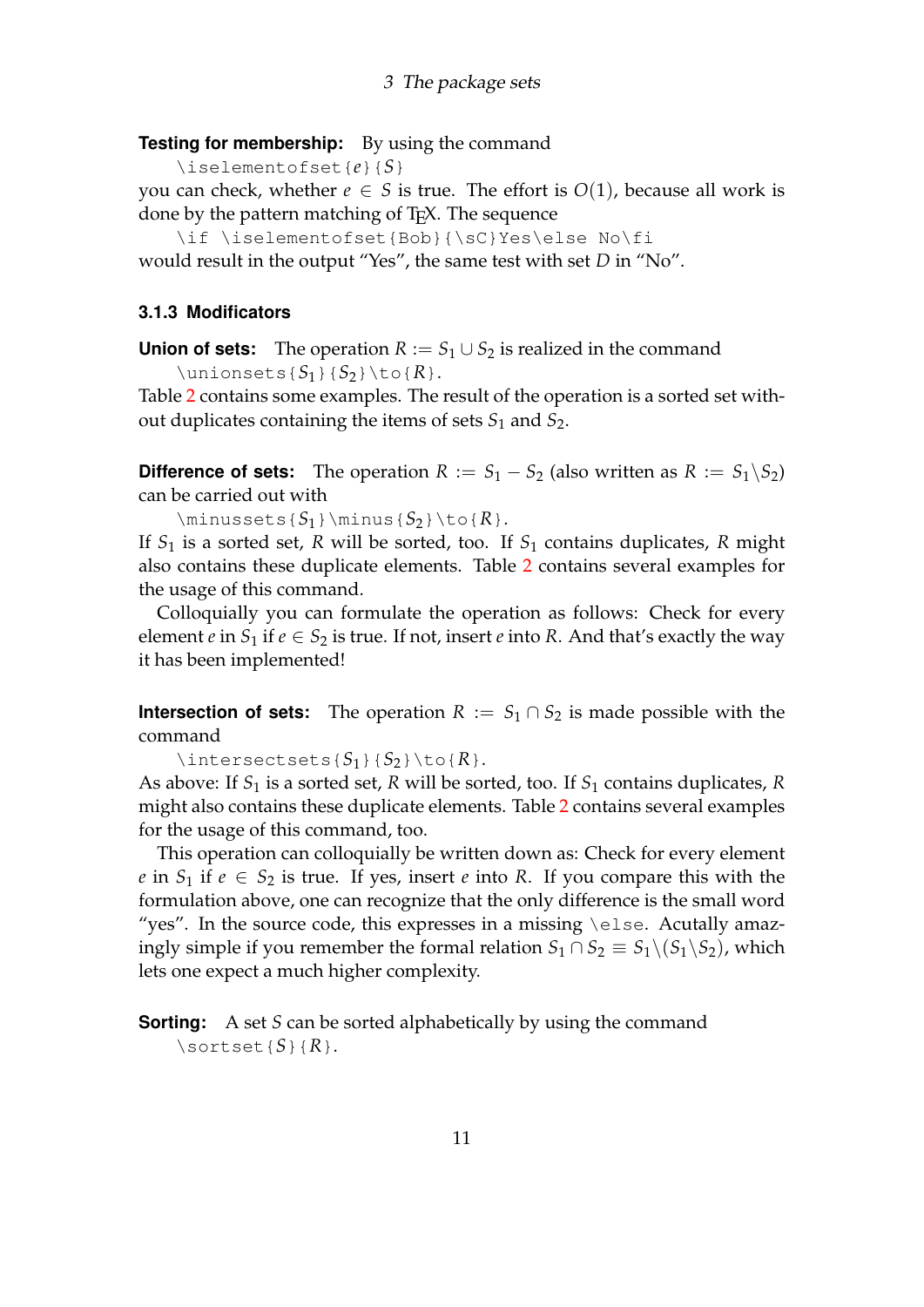**Testing for membership:** By using the command

\iselementofset{*e*}{*S*}

you can check, whether  $e \in S$  is true. The effort is  $O(1)$ , because all work is done by the pattern matching of T<sub>F</sub>X. The sequence

\if \iselementofset{Bob}{\sC}Yes\else No\fi

would result in the output "Yes", the same test with set *D* in "No".

#### <span id="page-10-0"></span>**3.1.3 Modificators**

**Union of sets:** The operation  $R := S_1 \cup S_2$  is realized in the command  $\times$ inionsets{*S*<sub>1</sub>}{*S*<sub>2</sub>}\to{*R*}.

Table [2](#page-11-1) contains some examples. The result of the operation is a sorted set without duplicates containing the items of sets *S*<sup>1</sup> and *S*2.

**Difference of sets:** The operation  $R := S_1 - S_2$  (also written as  $R := S_1 \setminus S_2$ ) can be carried out with

 $\minus$ sets{*S*<sub>1</sub>}\minus{*S*<sub>2</sub>}\to{*R*}.

If *S*<sup>1</sup> is a sorted set, *R* will be sorted, too. If *S*<sup>1</sup> contains duplicates, *R* might also contains these duplicate elements. Table [2](#page-11-1) contains several examples for the usage of this command.

Colloquially you can formulate the operation as follows: Check for every element *e* in  $S_1$  if  $e \in S_2$  is true. If not, insert *e* into *R*. And that's exactly the way it has been implemented!

**Intersection of sets:** The operation  $R := S_1 \cap S_2$  is made possible with the command

 $\text{intersects}\{S_1\}\{S_2\}\to\text{R}.$ 

As above: If *S*<sup>1</sup> is a sorted set, *R* will be sorted, too. If *S*<sup>1</sup> contains duplicates, *R* might also contains these duplicate elements. Table [2](#page-11-1) contains several examples for the usage of this command, too.

This operation can colloquially be written down as: Check for every element *e* in  $S_1$  if  $e \in S_2$  is true. If yes, insert *e* into *R*. If you compare this with the formulation above, one can recognize that the only difference is the small word "yes". In the source code, this expresses in a missing \else. Acutally amazingly simple if you remember the formal relation  $S_1 \cap S_2 \equiv S_1 \setminus (S_1 \setminus S_2)$ , which lets one expect a much higher complexity.

**Sorting:** A set *S* can be sorted alphabetically by using the command  $\setminus$ sortset ${S}$  ${R}$ .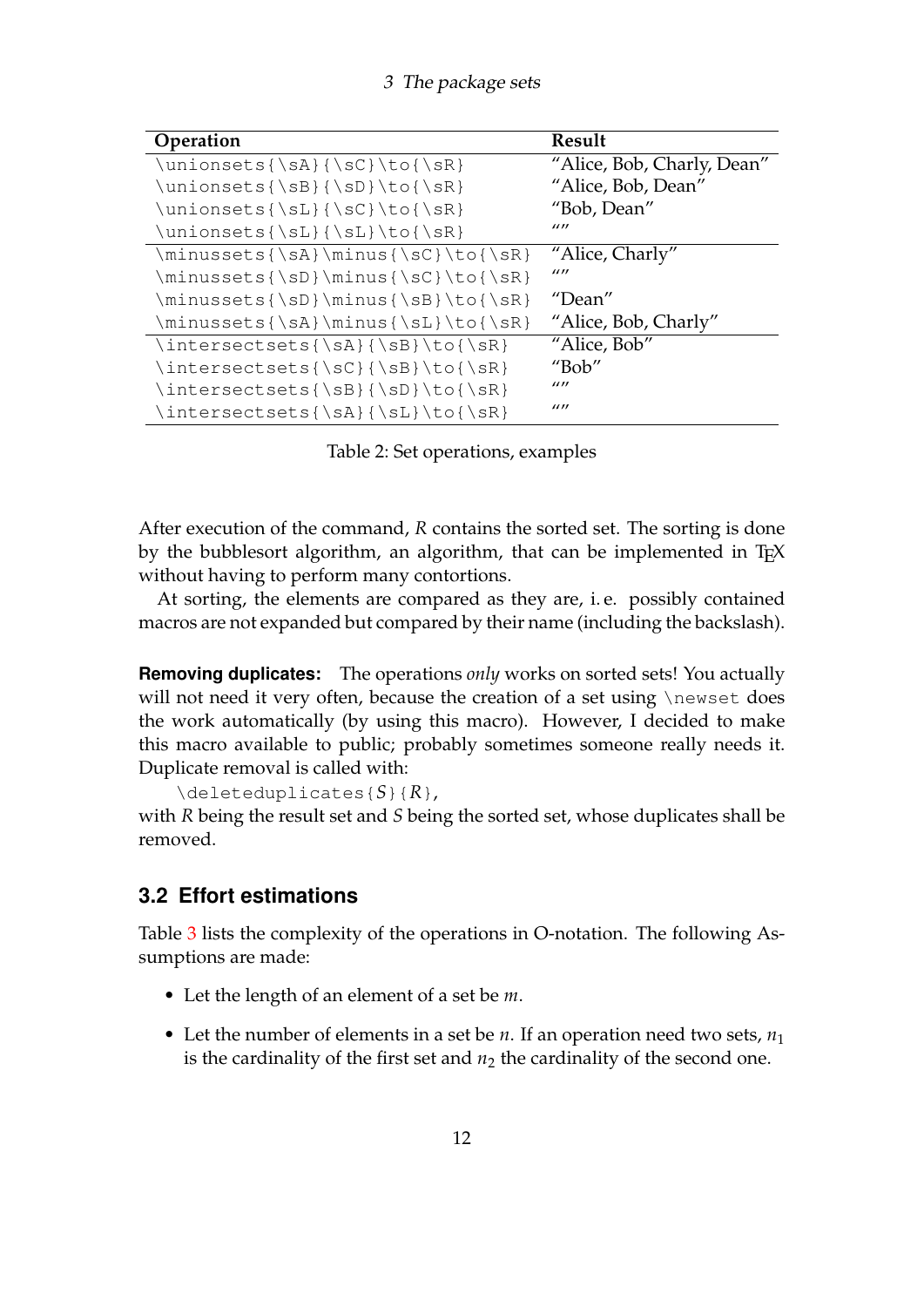3 The package sets

| Operation                                             | Result                     |
|-------------------------------------------------------|----------------------------|
| $\unionsets{\sA}{\sc} \to{\sR}$                       | "Alice, Bob, Charly, Dean" |
| $\unionsets$ {\sB}{\sD}\to{\sR}                       | "Alice, Bob, Dean"         |
| $\unionsets{\SL}{\SC}\to{\SR}$                        | "Bob, Dean"                |
| $\unionsets{\S_L}{\sL} \to {\sR}$                     | 1111                       |
| \minussets{\sA}\minus{\sC}\to{\sR}                    | "Alice, Charly"            |
| $\minussets\{ \sD\} \minus \max\{ \sC\} \to \{ \sR\}$ | 1111                       |
| \minussets{\sD}\minus{\sB}\to{\sR}                    | "Dean"                     |
| \minussets{\sA}\minus{\sL}\to{\sR}                    | "Alice, Bob, Charly"       |
| $\intersects{\sA}{\sB}{\to}$                          | "Alice, Bob"               |
| \intersectsets{\sC}{\sB}\to{\sR}                      | "Bob"                      |
| $\intersects{\sB}{\sD}{\to}$                          | $\frac{1}{2}$              |
| \intersectsets{\sA}{\sL}\to{\sR}                      | 1111                       |

<span id="page-11-1"></span>Table 2: Set operations, examples

After execution of the command, *R* contains the sorted set. The sorting is done by the bubblesort algorithm, an algorithm, that can be implemented in TFX without having to perform many contortions.

At sorting, the elements are compared as they are, i. e. possibly contained macros are not expanded but compared by their name (including the backslash).

**Removing duplicates:** The operations *only* works on sorted sets! You actually will not need it very often, because the creation of a set using \newset does the work automatically (by using this macro). However, I decided to make this macro available to public; probably sometimes someone really needs it. Duplicate removal is called with:

```
\deleteduplicates{S}{R},
```
with *R* being the result set and *S* being the sorted set, whose duplicates shall be removed.

### <span id="page-11-0"></span>**3.2 Effort estimations**

Table [3](#page-12-0) lists the complexity of the operations in O-notation. The following Assumptions are made:

- Let the length of an element of a set be *m*.
- Let the number of elements in a set be  $n$ . If an operation need two sets,  $n_1$ is the cardinality of the first set and  $n_2$  the cardinality of the second one.